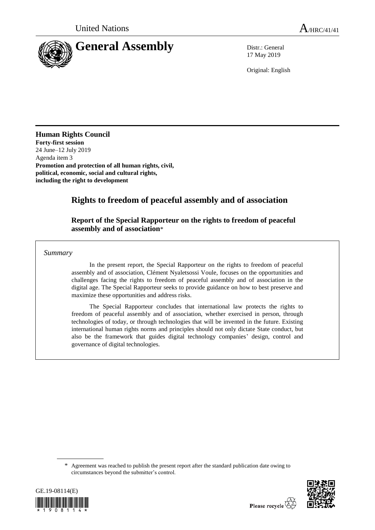

17 May 2019

Original: English

## **Human Rights Council**

**Forty-first session** 24 June–12 July 2019 Agenda item 3 **Promotion and protection of all human rights, civil, political, economic, social and cultural rights, including the right to development**

# **Rights to freedom of peaceful assembly and of association**

## **Report of the Special Rapporteur on the rights to freedom of peaceful assembly and of association**\*

*Summary*

In the present report, the Special Rapporteur on the rights to freedom of peaceful assembly and of association, Clément Nyaletsossi Voule, focuses on the opportunities and challenges facing the rights to freedom of peaceful assembly and of association in the digital age. The Special Rapporteur seeks to provide guidance on how to best preserve and maximize these opportunities and address risks.

The Special Rapporteur concludes that international law protects the rights to freedom of peaceful assembly and of association, whether exercised in person, through technologies of today, or through technologies that will be invented in the future. Existing international human rights norms and principles should not only dictate State conduct, but also be the framework that guides digital technology companies' design, control and governance of digital technologies.

<sup>\*</sup> Agreement was reached to publish the present report after the standard publication date owing to circumstances beyond the submitter's control.



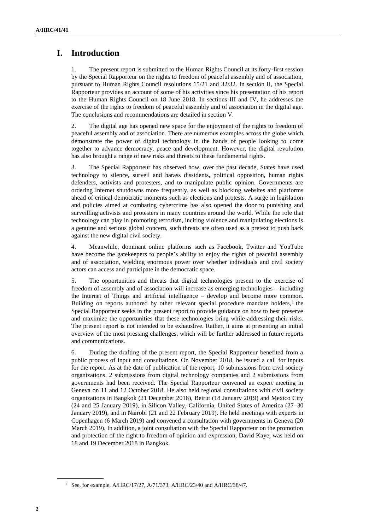# **I. Introduction**

1. The present report is submitted to the Human Rights Council at its forty-first session by the Special Rapporteur on the rights to freedom of peaceful assembly and of association, pursuant to Human Rights Council resolutions 15/21 and 32/32. In section II, the Special Rapporteur provides an account of some of his activities since his presentation of his report to the Human Rights Council on 18 June 2018. In sections III and IV, he addresses the exercise of the rights to freedom of peaceful assembly and of association in the digital age. The conclusions and recommendations are detailed in section V.

2. The digital age has opened new space for the enjoyment of the rights to freedom of peaceful assembly and of association. There are numerous examples across the globe which demonstrate the power of digital technology in the hands of people looking to come together to advance democracy, peace and development. However, the digital revolution has also brought a range of new risks and threats to these fundamental rights.

3. The Special Rapporteur has observed how, over the past decade, States have used technology to silence, surveil and harass dissidents, political opposition, human rights defenders, activists and protesters, and to manipulate public opinion. Governments are ordering Internet shutdowns more frequently, as well as blocking websites and platforms ahead of critical democratic moments such as elections and protests. A surge in legislation and policies aimed at combating cybercrime has also opened the door to punishing and surveilling activists and protesters in many countries around the world. While the role that technology can play in promoting terrorism, inciting violence and manipulating elections is a genuine and serious global concern, such threats are often used as a pretext to push back against the new digital civil society.

4. Meanwhile, dominant online platforms such as Facebook, Twitter and YouTube have become the gatekeepers to people's ability to enjoy the rights of peaceful assembly and of association, wielding enormous power over whether individuals and civil society actors can access and participate in the democratic space.

5. The opportunities and threats that digital technologies present to the exercise of freedom of assembly and of association will increase as emerging technologies – including the Internet of Things and artificial intelligence – develop and become more common. Building on reports authored by other relevant special procedure mandate holders, $<sup>1</sup>$  the</sup> Special Rapporteur seeks in the present report to provide guidance on how to best preserve and maximize the opportunities that these technologies bring while addressing their risks. The present report is not intended to be exhaustive. Rather, it aims at presenting an initial overview of the most pressing challenges, which will be further addressed in future reports and communications.

6. During the drafting of the present report, the Special Rapporteur benefited from a public process of input and consultations. On November 2018, he issued a call for inputs for the report. As at the date of publication of the report, 10 submissions from civil society organizations, 2 submissions from digital technology companies and 2 submissions from governments had been received. The Special Rapporteur convened an expert meeting in Geneva on 11 and 12 October 2018. He also held regional consultations with civil society organizations in Bangkok (21 December 2018), Beirut (18 January 2019) and Mexico City (24 and 25 January 2019), in Silicon Valley, California, United States of America (27–30 January 2019), and in Nairobi (21 and 22 February 2019). He held meetings with experts in Copenhagen (6 March 2019) and convened a consultation with governments in Geneva (20 March 2019). In addition, a joint consultation with the Special Rapporteur on the promotion and protection of the right to freedom of opinion and expression, David Kaye, was held on 18 and 19 December 2018 in Bangkok.

<sup>&</sup>lt;sup>1</sup> See, for example, A/HRC/17/27, A/71/373, A/HRC/23/40 and A/HRC/38/47.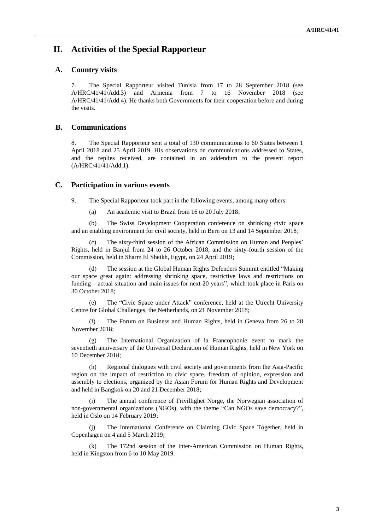## **II. Activities of the Special Rapporteur**

### **A. Country visits**

7. The Special Rapporteur visited Tunisia from 17 to 28 September 2018 (see A/HRC/41/41/Add.3) and Armenia from 7 to 16 November 2018 (see A/HRC/41/41/Add.4). He thanks both Governments for their cooperation before and during the visits.

### **B. Communications**

8. The Special Rapporteur sent a total of 130 communications to 60 States between 1 April 2018 and 25 April 2019. His observations on communications addressed to States, and the replies received, are contained in an addendum to the present report (A/HRC/41/41/Add.1).

#### **C. Participation in various events**

9. The Special Rapporteur took part in the following events, among many others:

(a) An academic visit to Brazil from 16 to 20 July 2018;

(b) The Swiss Development Cooperation conference on shrinking civic space and an enabling environment for civil society, held in Bern on 13 and 14 September 2018;

(c) The sixty-third session of the African Commission on Human and Peoples' Rights, held in Banjul from 24 to 26 October 2018, and the sixty-fourth session of the Commission, held in Sharm El Sheikh, Egypt, on 24 April 2019;

(d) The session at the Global Human Rights Defenders Summit entitled "Making our space great again: addressing shrinking space, restrictive laws and restrictions on funding – actual situation and main issues for next 20 years", which took place in Paris on 30 October 2018;

(e) The "Civic Space under Attack" conference, held at the Utrecht University Centre for Global Challenges, the Netherlands, on 21 November 2018;

(f) The Forum on Business and Human Rights, held in Geneva from 26 to 28 November 2018;

(g) The International Organization of la Francophonie event to mark the seventieth anniversary of the Universal Declaration of Human Rights, held in New York on 10 December 2018;

Regional dialogues with civil society and governments from the Asia-Pacific region on the impact of restriction to civic space, freedom of opinion, expression and assembly to elections, organized by the Asian Forum for Human Rights and Development and held in Bangkok on 20 and 21 December 2018;

The annual conference of Frivillighet Norge, the Norwegian association of non-governmental organizations (NGOs), with the theme "Can NGOs save democracy?", held in Oslo on 14 February 2019;

(j) The International Conference on Claiming Civic Space Together, held in Copenhagen on 4 and 5 March 2019;

(k) The 172nd session of the Inter-American Commission on Human Rights, held in Kingston from 6 to 10 May 2019.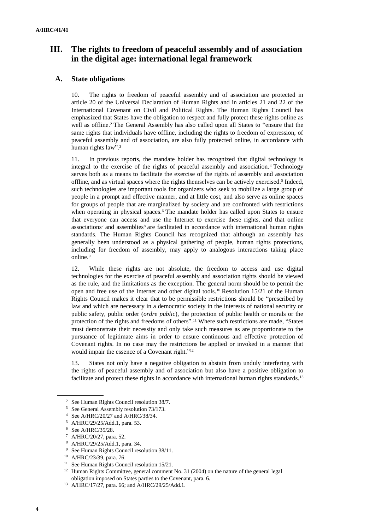# **III. The rights to freedom of peaceful assembly and of association in the digital age: international legal framework**

## **A. State obligations**

10. The rights to freedom of peaceful assembly and of association are protected in article 20 of the Universal Declaration of Human Rights and in articles 21 and 22 of the International Covenant on Civil and Political Rights. The Human Rights Council has emphasized that States have the obligation to respect and fully protect these rights online as well as offline.<sup>2</sup> The General Assembly has also called upon all States to "ensure that the same rights that individuals have offline, including the rights to freedom of expression, of peaceful assembly and of association, are also fully protected online, in accordance with human rights law". 3

11. In previous reports, the mandate holder has recognized that digital technology is integral to the exercise of the rights of peaceful assembly and association.<sup>4</sup> Technology serves both as a means to facilitate the exercise of the rights of assembly and association offline, and as virtual spaces where the rights themselves can be actively exercised.<sup>5</sup> Indeed, such technologies are important tools for organizers who seek to mobilize a large group of people in a prompt and effective manner, and at little cost, and also serve as online spaces for groups of people that are marginalized by society and are confronted with restrictions when operating in physical spaces.<sup>6</sup> The mandate holder has called upon States to ensure that everyone can access and use the Internet to exercise these rights, and that online associations<sup>7</sup> and assemblies<sup>8</sup> are facilitated in accordance with international human rights standards. The Human Rights Council has recognized that although an assembly has generally been understood as a physical gathering of people, human rights protections, including for freedom of assembly, may apply to analogous interactions taking place online.<sup>9</sup>

12. While these rights are not absolute, the freedom to access and use digital technologies for the exercise of peaceful assembly and association rights should be viewed as the rule, and the limitations as the exception. The general norm should be to permit the open and free use of the Internet and other digital tools.<sup>10</sup> Resolution 15/21 of the Human Rights Council makes it clear that to be permissible restrictions should be "prescribed by law and which are necessary in a democratic society in the interests of national security or public safety, public order (*ordre public*), the protection of public health or morals or the protection of the rights and freedoms of others". <sup>11</sup> Where such restrictions are made, "States must demonstrate their necessity and only take such measures as are proportionate to the pursuance of legitimate aims in order to ensure continuous and effective protection of Covenant rights. In no case may the restrictions be applied or invoked in a manner that would impair the essence of a Covenant right."<sup>12</sup>

13. States not only have a negative obligation to abstain from unduly interfering with the rights of peaceful assembly and of association but also have a positive obligation to facilitate and protect these rights in accordance with international human rights standards.<sup>13</sup>

<sup>2</sup> See Human Rights Council resolution 38/7.

<sup>3</sup> See General Assembly resolution 73/173.

<sup>4</sup> See A/HRC/20/27 and A/HRC/38/34.

<sup>5</sup> A/HRC/29/25/Add.1, para. 53.

<sup>6</sup> See A/HRC/35/28.

<sup>7</sup> A/HRC/20/27, para. 52.

<sup>8</sup> A/HRC/29/25/Add.1, para. 34.

<sup>&</sup>lt;sup>9</sup> See Human Rights Council resolution 38/11.

<sup>10</sup> A/HRC/23/39, para. 76.

<sup>&</sup>lt;sup>11</sup> See Human Rights Council resolution 15/21.

<sup>&</sup>lt;sup>12</sup> Human Rights Committee, general comment No. 31 (2004) on the nature of the general legal obligation imposed on States parties to the Covenant, para. 6.

<sup>13</sup> A/HRC/17/27, para. 66; and A/HRC/29/25/Add.1.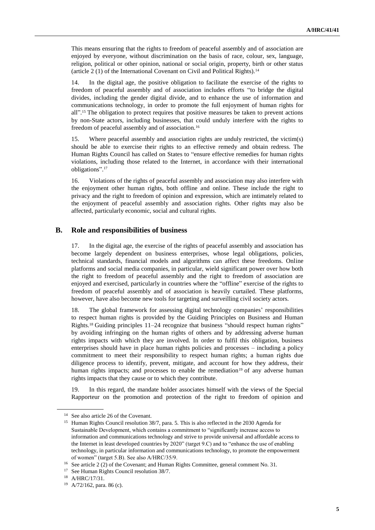This means ensuring that the rights to freedom of peaceful assembly and of association are enjoyed by everyone, without discrimination on the basis of race, colour, sex, language, religion, political or other opinion, national or social origin, property, birth or other status (article 2 (1) of the International Covenant on Civil and Political Rights).<sup>14</sup>

14. In the digital age, the positive obligation to facilitate the exercise of the rights to freedom of peaceful assembly and of association includes efforts "to bridge the digital divides, including the gender digital divide, and to enhance the use of information and communications technology, in order to promote the full enjoyment of human rights for all".<sup>15</sup> The obligation to protect requires that positive measures be taken to prevent actions by non-State actors, including businesses, that could unduly interfere with the rights to freedom of peaceful assembly and of association.<sup>16</sup>

15. Where peaceful assembly and association rights are unduly restricted, the victim(s) should be able to exercise their rights to an effective remedy and obtain redress. The Human Rights Council has called on States to "ensure effective remedies for human rights violations, including those related to the Internet, in accordance with their international obligations". 17

16. Violations of the rights of peaceful assembly and association may also interfere with the enjoyment other human rights, both offline and online. These include the right to privacy and the right to freedom of opinion and expression, which are intimately related to the enjoyment of peaceful assembly and association rights. Other rights may also be affected, particularly economic, social and cultural rights.

#### **B. Role and responsibilities of business**

17. In the digital age, the exercise of the rights of peaceful assembly and association has become largely dependent on business enterprises, whose legal obligations, policies, technical standards, financial models and algorithms can affect these freedoms. Online platforms and social media companies, in particular, wield significant power over how both the right to freedom of peaceful assembly and the right to freedom of association are enjoyed and exercised, particularly in countries where the "offline" exercise of the rights to freedom of peaceful assembly and of association is heavily curtailed. These platforms, however, have also become new tools for targeting and surveilling civil society actors.

18. The global framework for assessing digital technology companies' responsibilities to respect human rights is provided by the Guiding Principles on Business and Human Rights.<sup>18</sup> Guiding principles 11–24 recognize that business "should respect human rights" by avoiding infringing on the human rights of others and by addressing adverse human rights impacts with which they are involved. In order to fulfil this obligation, business enterprises should have in place human rights policies and processes – including a policy commitment to meet their responsibility to respect human rights; a human rights due diligence process to identify, prevent, mitigate, and account for how they address, their human rights impacts; and processes to enable the remediation<sup>19</sup> of any adverse human rights impacts that they cause or to which they contribute.

19. In this regard, the mandate holder associates himself with the views of the Special Rapporteur on the promotion and protection of the right to freedom of opinion and

<sup>&</sup>lt;sup>14</sup> See also article 26 of the Covenant.

<sup>&</sup>lt;sup>15</sup> Human Rights Council resolution 38/7, para. 5. This is also reflected in the 2030 Agenda for Sustainable Development, which contains a commitment to "significantly increase access to information and communications technology and strive to provide universal and affordable access to the Internet in least developed countries by 2020" (target 9.C) and to "enhance the use of enabling technology, in particular information and communications technology, to promote the empowerment of women" (target 5.B). See also A/HRC/35/9.

<sup>&</sup>lt;sup>16</sup> See article 2 (2) of the Covenant; and Human Rights Committee, general comment No. 31.

<sup>17</sup> See Human Rights Council resolution 38/7.

<sup>18</sup> A/HRC/17/31.

<sup>19</sup> A/72/162, para. 86 (c).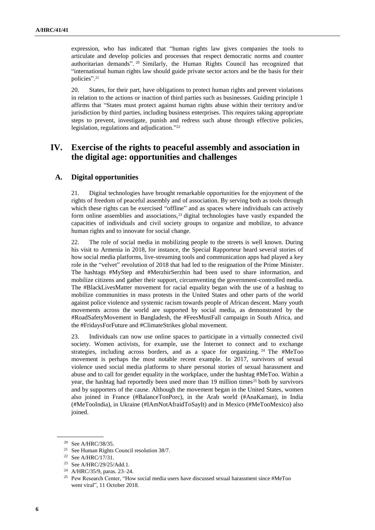expression, who has indicated that "human rights law gives companies the tools to articulate and develop policies and processes that respect democratic norms and counter authoritarian demands". <sup>20</sup> Similarly, the Human Rights Council has recognized that "international human rights law should guide private sector actors and be the basis for their policies". 21

20. States, for their part, have obligations to protect human rights and prevent violations in relation to the actions or inaction of third parties such as businesses. Guiding principle 1 affirms that "States must protect against human rights abuse within their territory and/or jurisdiction by third parties, including business enterprises. This requires taking appropriate steps to prevent, investigate, punish and redress such abuse through effective policies, legislation, regulations and adjudication." 22

## **IV. Exercise of the rights to peaceful assembly and association in the digital age: opportunities and challenges**

## **A. Digital opportunities**

21. Digital technologies have brought remarkable opportunities for the enjoyment of the rights of freedom of peaceful assembly and of association. By serving both as tools through which these rights can be exercised "offline" and as spaces where individuals can actively form online assemblies and associations,<sup>23</sup> digital technologies have vastly expanded the capacities of individuals and civil society groups to organize and mobilize, to advance human rights and to innovate for social change.

22. The role of social media in mobilizing people to the streets is well known. During his visit to Armenia in 2018, for instance, the Special Rapporteur heard several stories of how social media platforms, live-streaming tools and communication apps had played a key role in the "velvet" revolution of 2018 that had led to the resignation of the Prime Minister. The hashtags #MyStep and #MerzhirSerzhin had been used to share information, and mobilize citizens and gather their support, circumventing the government-controlled media. The #BlackLivesMatter movement for racial equality began with the use of a hashtag to mobilize communities in mass protests in the United States and other parts of the world against police violence and systemic racism towards people of African descent. Many youth movements across the world are supported by social media, as demonstrated by the #RoadSafetyMovement in Bangladesh, the #FeesMustFall campaign in South Africa, and the #FridaysForFuture and #ClimateStrikes global movement.

23. Individuals can now use online spaces to participate in a virtually connected civil society. Women activists, for example, use the Internet to connect and to exchange strategies, including across borders, and as a space for organizing. <sup>24</sup> The #MeToo movement is perhaps the most notable recent example. In 2017, survivors of sexual violence used social media platforms to share personal stories of sexual harassment and abuse and to call for gender equality in the workplace, under the hashtag #MeToo. Within a year, the hashtag had reportedly been used more than 19 million times<sup>25</sup> both by survivors and by supporters of the cause. Although the movement began in the United States, women also joined in France (#BalanceTonPorc), in the Arab world (#AnaKaman), in India (#MeTooIndia), in Ukraine (#IAmNotAfraidToSayIt) and in Mexico (#MeTooMexico) also joined.

<sup>20</sup> See A/HRC/38/35.

<sup>21</sup> See Human Rights Council resolution 38/7.

<sup>22</sup> See A/HRC/17/31.

<sup>23</sup> See A/HRC/29/25/Add.1.

<sup>24</sup> A/HRC/35/9, paras. 23–24.

<sup>&</sup>lt;sup>25</sup> Pew Research Center, "How social media users have discussed sexual harassment since #MeToo [went viral"](https://www.pewresearch.org/fact-tank/2018/10/11/how-social-media-users-have-discussed-sexual-harassment-since-metoo-went-viral/), 11 October 2018.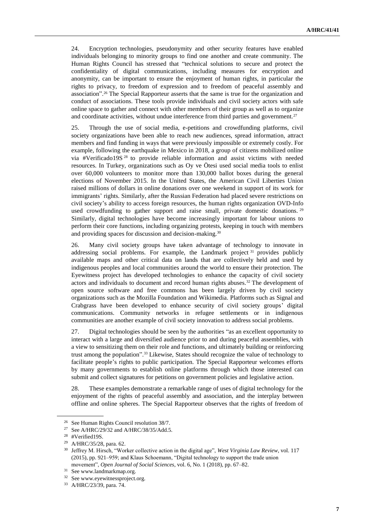24. Encryption technologies, pseudonymity and other security features have enabled individuals belonging to minority groups to find one another and create community. The Human Rights Council has stressed that "technical solutions to secure and protect the confidentiality of digital communications, including measures for encryption and anonymity, can be important to ensure the enjoyment of human rights, in particular the rights to privacy, to freedom of expression and to freedom of peaceful assembly and association". <sup>26</sup> The Special Rapporteur asserts that the same is true for the organization and conduct of associations. These tools provide individuals and civil society actors with safe online space to gather and connect with other members of their group as well as to organize and coordinate activities, without undue interference from third parties and government.<sup>27</sup>

25. Through the use of social media, e-petitions and crowdfunding platforms, civil society organizations have been able to reach new audiences, spread information, attract members and find funding in ways that were previously impossible or extremely costly. For example, following the earthquake in Mexico in 2018, a group of citizens mobilized online via #Verificado19S <sup>28</sup> to provide reliable information and assist victims with needed resources. In Turkey, organizations such as Oy ve Ötesi used social media tools to enlist over 60,000 volunteers to monitor more than 130,000 ballot boxes during the general elections of November 2015. In the United States, the American Civil Liberties Union raised millions of dollars in online donations over one weekend in support of its work for immigrants' rights. Similarly, after the Russian Federation had placed severe restrictions on civil society's ability to access foreign resources, the human rights organization OVD-Info used crowdfunding to gather support and raise small, private domestic donations. <sup>29</sup> Similarly, digital technologies have become increasingly important for labour unions to perform their core functions, including organizing protests, keeping in touch with members and providing spaces for discussion and decision-making.<sup>30</sup>

26. Many civil society groups have taken advantage of technology to innovate in addressing social problems. For example, the Landmark project <sup>31</sup> provides publicly available maps and other critical data on lands that are collectively held and used by indigenous peoples and local communities around the world to ensure their protection. The Eyewitness project has developed technologies to enhance the capacity of civil society actors and individuals to document and record human rights abuses.<sup>32</sup> The development of open source software and free commons has been largely driven by civil society organizations such as the Mozilla Foundation and Wikimedia. Platforms such as Signal and Crabgrass have been developed to enhance security of civil society groups' digital communications. Community networks in refugee settlements or in indigenous communities are another example of civil society innovation to address social problems.

27. Digital technologies should be seen by the authorities "as an excellent opportunity to interact with a large and diversified audience prior to and during peaceful assemblies, with a view to sensitizing them on their role and functions, and ultimately building or reinforcing trust among the population". <sup>33</sup> Likewise, States should recognize the value of technology to facilitate people's rights to public participation. The Special Rapporteur welcomes efforts by many governments to establish online platforms through which those interested can submit and collect signatures for petitions on government policies and legislative action.

28. These examples demonstrate a remarkable range of uses of digital technology for the enjoyment of the rights of peaceful assembly and association, and the interplay between offline and online spheres. The Special Rapporteur observes that the rights of freedom of

<sup>26</sup> See Human Rights Council resolution 38/7.

<sup>27</sup> See A/HRC/29/32 and A/HRC/38/35/Add.5.

<sup>28</sup> #Verified19S.

<sup>29</sup> A/HRC/35/28, para. 62.

<sup>30</sup> Jeffrey M. Hirsch, "Worker collective action in the digital age", *West Virginia Law Review*, vol. 117 (2015), pp. 921–959; and Klaus Schoemann, "Digital technology to support the trade union movement", *Open Journal of Social Sciences*, vol. 6, No. 1 (2018), pp. 67–82.

<sup>31</sup> Se[e www.landmarkmap.org.](file:///C:/Users/Maria.VivarAguirre/AppData/Local/Microsoft/Windows/INetCache/Content.Outlook/QEKT94AT/www.landmarkmap.org/)

<sup>&</sup>lt;sup>32</sup> See www.eyewitnessproject.org.

<sup>33</sup> A/HRC/23/39, para. 74.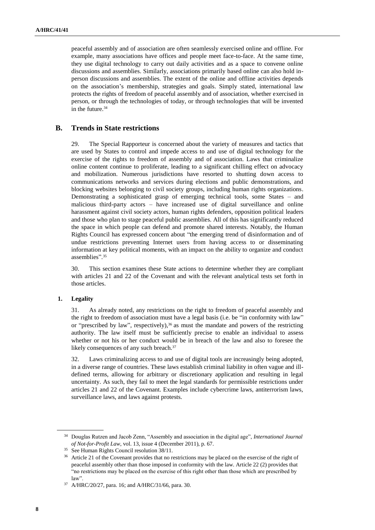peaceful assembly and of association are often seamlessly exercised online and offline. For example, many associations have offices and people meet face-to-face. At the same time, they use digital technology to carry out daily activities and as a space to convene online discussions and assemblies. Similarly, associations primarily based online can also hold inperson discussions and assemblies. The extent of the online and offline activities depends on the association's membership, strategies and goals. Simply stated, international law protects the rights of freedom of peaceful assembly and of association, whether exercised in person, or through the technologies of today, or through technologies that will be invented in the future.<sup>34</sup>

### **B. Trends in State restrictions**

29. The Special Rapporteur is concerned about the variety of measures and tactics that are used by States to control and impede access to and use of digital technology for the exercise of the rights to freedom of assembly and of association. Laws that criminalize online content continue to proliferate, leading to a significant chilling effect on advocacy and mobilization. Numerous jurisdictions have resorted to shutting down access to communications networks and services during elections and public demonstrations, and blocking websites belonging to civil society groups, including human rights organizations. Demonstrating a sophisticated grasp of emerging technical tools, some States – and malicious third-party actors – have increased use of digital surveillance and online harassment against civil society actors, human rights defenders, opposition political leaders and those who plan to stage peaceful public assemblies. All of this has significantly reduced the space in which people can defend and promote shared interests. Notably, the Human Rights Council has expressed concern about "the emerging trend of disinformation and of undue restrictions preventing Internet users from having access to or disseminating information at key political moments, with an impact on the ability to organize and conduct assemblies". 35

30. This section examines these State actions to determine whether they are compliant with articles 21 and 22 of the Covenant and with the relevant analytical tests set forth in those articles.

#### **1. Legality**

31. As already noted, any restrictions on the right to freedom of peaceful assembly and the right to freedom of association must have a legal basis (i.e. be "in conformity with law" or "prescribed by law", respectively), $36$  as must the mandate and powers of the restricting authority. The law itself must be sufficiently precise to enable an individual to assess whether or not his or her conduct would be in breach of the law and also to foresee the likely consequences of any such breach.<sup>37</sup>

32. Laws criminalizing access to and use of digital tools are increasingly being adopted, in a diverse range of countries. These laws establish criminal liability in often vague and illdefined terms, allowing for arbitrary or discretionary application and resulting in legal uncertainty. As such, they fail to meet the legal standards for permissible restrictions under articles 21 and 22 of the Covenant. Examples include cybercrime laws, antiterrorism laws, surveillance laws, and laws against protests.

<sup>34</sup> Douglas Rutzen and Jacob Zenn, "Assembly and association in the digital age", *International Journal of Not-for-Profit Law*, vol. 13, issue 4 (December 2011), p. 67.

<sup>35</sup> See Human Rights Council resolution 38/11.

<sup>&</sup>lt;sup>36</sup> Article 21 of the Covenant provides that no restrictions may be placed on the exercise of the right of peaceful assembly other than those imposed in conformity with the law. Article 22 (2) provides that "no restrictions may be placed on the exercise of this right other than those which are prescribed by law".

<sup>37</sup> A/HRC/20/27, para. 16; and A/HRC/31/66, para. 30.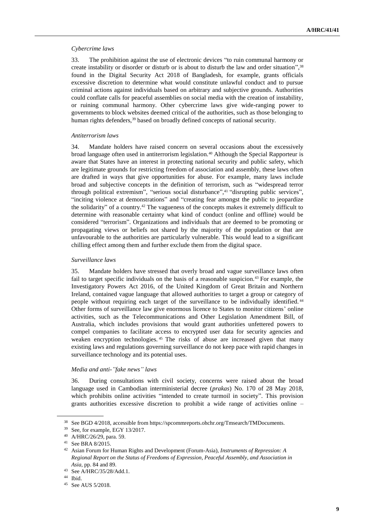#### *Cybercrime laws*

33. The prohibition against the use of electronic devices "to ruin communal harmony or create instability or disorder or disturb or is about to disturb the law and order situation",<sup>38</sup> found in the Digital Security Act 2018 of Bangladesh, for example, grants officials excessive discretion to determine what would constitute unlawful conduct and to pursue criminal actions against individuals based on arbitrary and subjective grounds. Authorities could conflate calls for peaceful assemblies on social media with the creation of instability, or ruining communal harmony. Other cybercrime laws give wide-ranging power to governments to block websites deemed critical of the authorities, such as those belonging to human rights defenders,<sup>39</sup> based on broadly defined concepts of national security.

#### *Antiterrorism laws*

34. Mandate holders have raised concern on several occasions about the excessively broad language often used in antiterrorism legislation.<sup>40</sup> Although the Special Rapporteur is aware that States have an interest in protecting national security and public safety, which are legitimate grounds for restricting freedom of association and assembly, these laws often are drafted in ways that give opportunities for abuse. For example, many laws include broad and subjective concepts in the definition of terrorism, such as "widespread terror through political extremism", "serious social disturbance", <sup>41</sup> "disrupting public services", "inciting violence at demonstrations" and "creating fear amongst the public to jeopardize the solidarity" of a country.<sup>42</sup> The vagueness of the concepts makes it extremely difficult to determine with reasonable certainty what kind of conduct (online and offline) would be considered "terrorism". Organizations and individuals that are deemed to be promoting or propagating views or beliefs not shared by the majority of the population or that are unfavourable to the authorities are particularly vulnerable. This would lead to a significant chilling effect among them and further exclude them from the digital space.

#### *Surveillance laws*

35. Mandate holders have stressed that overly broad and vague surveillance laws often fail to target specific individuals on the basis of a reasonable suspicion.<sup>43</sup> For example, the Investigatory Powers Act 2016, of the United Kingdom of Great Britain and Northern Ireland, contained vague language that allowed authorities to target a group or category of people without requiring each target of the surveillance to be individually identified. <sup>44</sup> Other forms of surveillance law give enormous licence to States to monitor citizens' online activities, such as the Telecommunications and Other Legislation Amendment Bill, of Australia, which includes provisions that would grant authorities unfettered powers to compel companies to facilitate access to encrypted user data for security agencies and weaken encryption technologies. <sup>45</sup> The risks of abuse are increased given that many existing laws and regulations governing surveillance do not keep pace with rapid changes in surveillance technology and its potential uses.

## *Media and anti-"fake news" laws*

36. During consultations with civil society, concerns were raised about the broad language used in Cambodian interministerial decree (*prakas*) No. 170 of 28 May 2018, which prohibits online activities "intended to create turmoil in society". This provision grants authorities excessive discretion to prohibit a wide range of activities online –

<sup>38</sup> See BGD 4/2018, accessible from https://spcommreports.ohchr.org/Tmsearch/TMDocuments.

<sup>39</sup> See, for example, EGY 13/2017.

<sup>40</sup> A/HRC/26/29, para. 59.

<sup>41</sup> See BRA 8/2015.

<sup>42</sup> Asian Forum for Human Rights and Development (Forum-Asia), *Instruments of Repression: A Regional Report on the Status of Freedoms of Expression, Peaceful Assembly, and Association in Asia*, pp. 84 and 89.

<sup>43</sup> See A/HRC/35/28/Add.1.

<sup>44</sup> Ibid.

<sup>45</sup> See AUS 5/2018.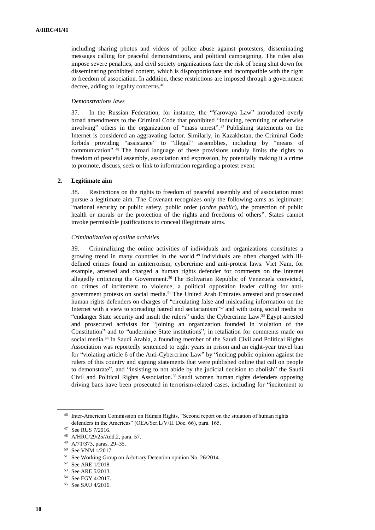including sharing photos and videos of police abuse against protesters, disseminating messages calling for peaceful demonstrations, and political campaigning. The rules also impose severe penalties, and civil society organizations face the risk of being shut down for disseminating prohibited content, which is disproportionate and incompatible with the right to freedom of association. In addition, these restrictions are imposed through a government decree, adding to legality concerns.<sup>46</sup>

#### *Demonstrations laws*

37. In the Russian Federation, for instance, the "Yarovaya Law" introduced overly broad amendments to the Criminal Code that prohibited "inducing, recruiting or otherwise involving" others in the organization of "mass unrest". <sup>47</sup> Publishing statements on the Internet is considered an aggravating factor. Similarly, in Kazakhstan, the Criminal Code forbids providing "assistance" to "illegal" assemblies, including by "means of communication". <sup>48</sup> The broad language of these provisions unduly limits the rights to freedom of peaceful assembly, association and expression, by potentially making it a crime to promote, discuss, seek or link to information regarding a protest event.

#### **2. Legitimate aim**

38. Restrictions on the rights to freedom of peaceful assembly and of association must pursue a legitimate aim. The Covenant recognizes only the following aims as legitimate: "national security or public safety, public order (*ordre public*), the protection of public health or morals or the protection of the rights and freedoms of others". States cannot invoke permissible justifications to conceal illegitimate aims.

#### *Criminalization of online activities*

39. Criminalizing the online activities of individuals and organizations constitutes a growing trend in many countries in the world. <sup>49</sup> Individuals are often charged with illdefined crimes found in antiterrorism, cybercrime and anti-protest laws. Viet Nam, for example, arrested and charged a human rights defender for comments on the Internet allegedly criticizing the Government.<sup>50</sup> The Bolivarian Republic of Venezuela convicted, on crimes of incitement to violence, a political opposition leader calling for antigovernment protests on social media.<sup>51</sup> The United Arab Emirates arrested and prosecuted human rights defenders on charges of "circulating false and misleading information on the Internet with a view to spreading hatred and sectarianism" <sup>52</sup> and with using social media to "endanger State security and insult the rulers" under the Cybercrime Law.<sup>53</sup> Egypt arrested and prosecuted activists for "joining an organization founded in violation of the Constitution" and to "undermine State institutions", in retaliation for comments made on social media.<sup>54</sup> In Saudi Arabia, a founding member of the Saudi Civil and Political Rights Association was reportedly sentenced to eight years in prison and an eight-year travel ban for "violating article 6 of the Anti-Cybercrime Law" by "inciting public opinion against the rulers of this country and signing statements that were published online that call on people to demonstrate", and "insisting to not abide by the judicial decision to abolish" the Saudi Civil and Political Rights Association.<sup>55</sup> Saudi women human rights defenders opposing driving bans have been prosecuted in terrorism-related cases, including for "incitement to

<sup>&</sup>lt;sup>46</sup> Inter-American Commission on Human Rights, "Second report on the situation of human rights defenders in the Americas" (OEA/Ser.L/V/II. Doc. 66), para. 165.

<sup>47</sup> See RUS 7/2016.

<sup>48</sup> A/HRC/29/25/Add.2, para. 57.

<sup>49</sup> A/71/373, paras. 29–35.

<sup>50</sup> See VNM 1/2017.

<sup>51</sup> See Working Group on Arbitrary Detention opinion No. 26/2014.

<sup>52</sup> See ARE 1/2018.

<sup>53</sup> See ARE 5/2013.

<sup>54</sup> See EGY 4/2017.

<sup>55</sup> See SAU 4/2016.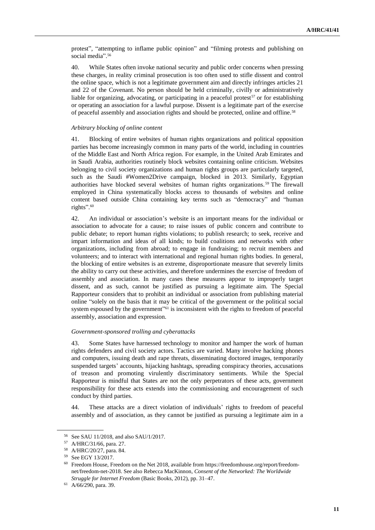protest", "attempting to inflame public opinion" and "filming protests and publishing on social media". 56

40. While States often invoke national security and public order concerns when pressing these charges, in reality criminal prosecution is too often used to stifle dissent and control the online space, which is not a legitimate government aim and directly infringes articles 21 and 22 of the Covenant. No person should be held criminally, civilly or administratively liable for organizing, advocating, or participating in a peaceful protest<sup>57</sup> or for establishing or operating an association for a lawful purpose. Dissent is a legitimate part of the exercise of peaceful assembly and association rights and should be protected, online and offline.<sup>58</sup>

#### *Arbitrary blocking of online content*

41. Blocking of entire websites of human rights organizations and political opposition parties has become increasingly common in many parts of the world, including in countries of the Middle East and North Africa region. For example, in the United Arab Emirates and in Saudi Arabia, authorities routinely block websites containing online criticism. Websites belonging to civil society organizations and human rights groups are particularly targeted, such as the Saudi #Women2Drive campaign, blocked in 2013. Similarly, Egyptian authorities have blocked several websites of human rights organizations. <sup>59</sup> The firewall employed in China systematically blocks access to thousands of websites and online content based outside China containing key terms such as "democracy" and "human rights". 60

42. An individual or association's website is an important means for the individual or association to advocate for a cause; to raise issues of public concern and contribute to public debate; to report human rights violations; to publish research; to seek, receive and impart information and ideas of all kinds; to build coalitions and networks with other organizations, including from abroad; to engage in fundraising; to recruit members and volunteers; and to interact with international and regional human rights bodies. In general, the blocking of entire websites is an extreme, disproportionate measure that severely limits the ability to carry out these activities, and therefore undermines the exercise of freedom of assembly and association. In many cases these measures appear to improperly target dissent, and as such, cannot be justified as pursuing a legitimate aim. The Special Rapporteur considers that to prohibit an individual or association from publishing material online "solely on the basis that it may be critical of the government or the political social system espoused by the government"<sup>61</sup> is inconsistent with the rights to freedom of peaceful assembly, association and expression.

#### *Government-sponsored trolling and cyberattacks*

43. Some States have harnessed technology to monitor and hamper the work of human rights defenders and civil society actors. Tactics are varied. Many involve hacking phones and computers, issuing death and rape threats, disseminating doctored images, temporarily suspended targets' accounts, hijacking hashtags, spreading conspiracy theories, accusations of treason and promoting virulently discriminatory sentiments. While the Special Rapporteur is mindful that States are not the only perpetrators of these acts, government responsibility for these acts extends into the commissioning and encouragement of such conduct by third parties.

44. These attacks are a direct violation of individuals' rights to freedom of peaceful assembly and of association, as they cannot be justified as pursuing a legitimate aim in a

<sup>56</sup> See SAU 11/2018, and also SAU/1/2017.

<sup>57</sup> A/HRC/31/66, para. 27.

<sup>58</sup> A/HRC/20/27, para. 84.

<sup>59</sup> See EGY 13/2017.

<sup>60</sup> Freedom House, Freedom on the Net 2018, available from [https://freedomhouse.org/report/freedom](https://freedomhouse.org/report/freedom-net/freedom-net-2018)[net/freedom-net-2018.](https://freedomhouse.org/report/freedom-net/freedom-net-2018) See also Rebecca MacKinnon, *Consent of the Networked: The Worldwide Struggle for Internet Freedom* (Basic Books, 2012), pp. 31–47.

<sup>61</sup> A/66/290, para. 39.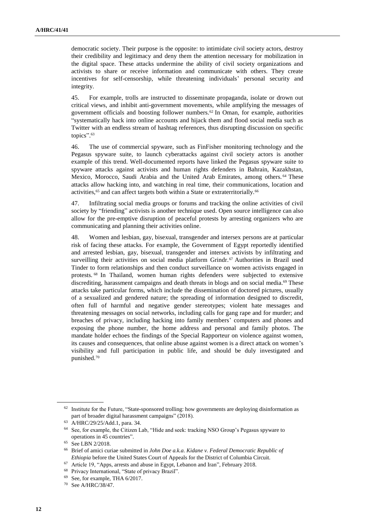democratic society. Their purpose is the opposite: to intimidate civil society actors, destroy their credibility and legitimacy and deny them the attention necessary for mobilization in the digital space. These attacks undermine the ability of civil society organizations and activists to share or receive information and communicate with others. They create incentives for self-censorship, while threatening individuals' personal security and integrity.

45. For example, trolls are instructed to disseminate propaganda, isolate or drown out critical views, and inhibit anti-government movements, while amplifying the messages of government officials and boosting follower numbers.<sup>62</sup> In Oman, for example, authorities "systematically hack into online accounts and hijack them and flood social media such as Twitter with an endless stream of hashtag references, thus disrupting discussion on specific topics". 63

46. The use of commercial spyware, such as FinFisher monitoring technology and the Pegasus spyware suite, to launch cyberattacks against civil society actors is another example of this trend. Well-documented reports have linked the Pegasus spyware suite to spyware attacks against activists and human rights defenders in Bahrain, Kazakhstan, Mexico, Morocco, Saudi Arabia and the United Arab Emirates, among others. <sup>64</sup> These attacks allow hacking into, and watching in real time, their communications, location and activities,<sup>65</sup> and can affect targets both within a State or extraterritorially.<sup>66</sup>

47. Infiltrating social media groups or forums and tracking the online activities of civil society by "friending" activists is another technique used. Open source intelligence can also allow for the pre-emptive disruption of peaceful protests by arresting organizers who are communicating and planning their activities online.

48. Women and lesbian, gay, bisexual, transgender and intersex persons are at particular risk of facing these attacks. For example, the Government of Egypt reportedly identified and arrested lesbian, gay, bisexual, transgender and intersex activists by infiltrating and surveilling their activities on social media platform Grindr.<sup>67</sup> Authorities in Brazil used Tinder to form relationships and then conduct surveillance on women activists engaged in protests. <sup>68</sup> In Thailand, women human rights defenders were subjected to extensive discrediting, harassment campaigns and death threats in blogs and on social media.<sup>69</sup> These attacks take particular forms, which include the dissemination of doctored pictures, usually of a sexualized and gendered nature; the spreading of information designed to discredit, often full of harmful and negative gender stereotypes; violent hate messages and threatening messages on social networks, including calls for gang rape and for murder; and breaches of privacy, including hacking into family members' computers and phones and exposing the phone number, the home address and personal and family photos. The mandate holder echoes the findings of the Special Rapporteur on violence against women, its causes and consequences, that online abuse against women is a direct attack on women's visibility and full participation in public life, and should be duly investigated and punished.<sup>70</sup>

<sup>&</sup>lt;sup>62</sup> Institute for the Future, "State-sponsored trolling: how governments are deploying disinformation as [part of broader digital harassment campaigns](http://www.iftf.org/fileadmin/user_upload/images/DigIntel/IFTF_State_sponsored_trolling_report.pdf)" (2018).

<sup>63</sup> A/HRC/29/25/Add.1, para. 34.

<sup>64</sup> See, for example, the Citizen Lab, ["Hide and seek: tracking NSO Group's Pegasus spyware to](https://citizenlab.ca/2018/09/hide-and-seek-tracking-nso-groups-pegasus-spyware-to-operations-in-45-countries/)  [operations in 45 countries"](https://citizenlab.ca/2018/09/hide-and-seek-tracking-nso-groups-pegasus-spyware-to-operations-in-45-countries/).

<sup>65</sup> See LBN 2/2018.

<sup>66</sup> Brief of [amici curiae](http://freeassembly.net/wp-content/uploads/2016/11/Kidane-Brief-of-Amici-Curiae-FINAL-AS-FILED.pdf) submitted in *John Doe a.k.a. Kidane v. Federal Democratic Republic of Ethiopia* before the United States Court of Appeals for the District of Columbia Circuit.

<sup>67</sup> Article 19, ["Apps, arrests and abuse in Egypt, Lebanon and Iran"](https://www.article19.org/wp-content/uploads/2018/02/LGBTQ-Apps-Arrest-and-Abuse-report_22.2.18.pdf), February 2018.

<sup>68</sup> Privacy International, "State of privacy Brazil".

<sup>69</sup> See, for example, THA 6/2017.

<sup>70</sup> See A/HRC/38/47.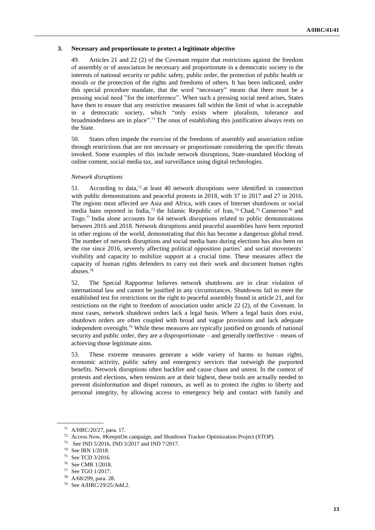#### **3. Necessary and proportionate to protect a legitimate objective**

49. Articles 21 and 22 (2) of the Covenant require that restrictions against the freedom of assembly or of association be necessary and proportionate in a democratic society in the interests of national security or public safety, public order, the protection of public health or morals or the protection of the rights and freedoms of others. It has been indicated, under this special procedure mandate, that the word "necessary" means that there must be a pressing social need "for the interference". When such a pressing social need arises, States have then to ensure that any restrictive measures fall within the limit of what is acceptable in a democratic society, which "only exists where pluralism, tolerance and broadmindedness are in place". <sup>71</sup> The onus of establishing this justification always rests on the State.

50. States often impede the exercise of the freedoms of assembly and association online through restrictions that are not necessary or proportionate considering the specific threats invoked. Some examples of this include network disruptions, State-mandated blocking of online content, social media tax, and surveillance using digital technologies.

### *Network disruptions*

51. According to data, $72$  at least 40 network disruptions were identified in connection with public demonstrations and peaceful protests in 2018, with 37 in 2017 and 27 in 2016. The regions most affected are Asia and Africa, with cases of Internet shutdowns or social media bans reported in India,<sup>73</sup> the Islamic Republic of Iran,<sup>74</sup> Chad,<sup>75</sup> Cameroon<sup>76</sup> and Togo.<sup>77</sup> India alone accounts for 64 network disruptions related to public demonstrations between 2016 and 2018. Network disruptions amid peaceful assemblies have been reported in other regions of the world, demonstrating that this has become a dangerous global trend. The number of network disruptions and social media bans during elections has also been on the rise since 2016, severely affecting political opposition parties' and social movements' visibility and capacity to mobilize support at a crucial time. These measures affect the capacity of human rights defenders to carry out their work and document human rights abuses.<sup>78</sup>

52. The Special Rapporteur believes network shutdowns are in clear violation of international law and cannot be justified in any circumstances. Shutdowns fail to meet the established test for restrictions on the right to peaceful assembly found in article 21, and for restrictions on the right to freedom of association under article 22 (2), of the Covenant. In most cases, network shutdown orders lack a legal basis. Where a legal basis does exist, shutdown orders are often coupled with broad and vague provisions and lack adequate independent oversight.<sup>79</sup> While these measures are typically justified on grounds of national security and public order, they are a disproportionate – and generally ineffective – means of achieving those legitimate aims.

53. These extreme measures generate a wide variety of harms to human rights, economic activity, public safety and emergency services that outweigh the purported benefits. Network disruptions often backfire and cause chaos and unrest. In the context of protests and elections, when tensions are at their highest, these tools are actually needed to prevent disinformation and dispel rumours, as well as to protect the rights to liberty and personal integrity, by allowing access to emergency help and contact with family and

<sup>71</sup> A/HRC/20/27, para. 17.

<sup>72</sup> Access Now, [#KeepitOn campaign,](https://www.accessnow.org/keepiton/) and Shutdown Tracker Optimization Project [\(STOP\)](https://www.accessnow.org/cms/assets/uploads/2018/06/Shutdown-Tracker-Optimization-Project-11-Jun-2018-edition.xlsx).

<sup>73</sup> See IND 5/2016, IND 3/2017 and IND 7/2017.

<sup>74</sup> See IRN 1/2018.

<sup>75</sup> See TCD 3/2016.

<sup>76</sup> See CMR 1/2018.

<sup>77</sup> See TGO 1/2017.

<sup>78</sup> A/68/299, para. 28.

<sup>79</sup> See A/HRC/29/25/Add.2.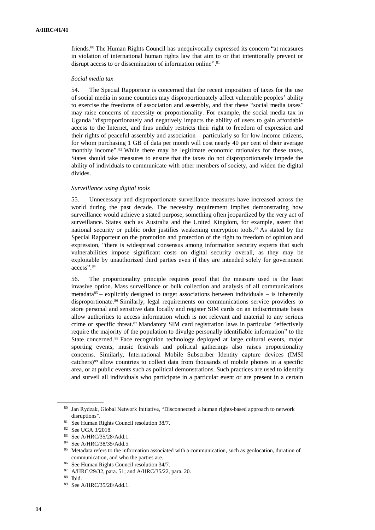friends.<sup>80</sup> The Human Rights Council has unequivocally expressed its concern "at measures in violation of international human rights law that aim to or that intentionally prevent or disrupt access to or dissemination of information online".<sup>81</sup>

#### *Social media tax*

54. The Special Rapporteur is concerned that the recent imposition of taxes for the use of social media in some countries may disproportionately affect vulnerable peoples' ability to exercise the freedoms of association and assembly, and that these "social media taxes" may raise concerns of necessity or proportionality. For example, the social media tax in Uganda "disproportionately and negatively impacts the ability of users to gain affordable access to the Internet, and thus unduly restricts their right to freedom of expression and their rights of peaceful assembly and association – particularly so for low-income citizens, for whom purchasing 1 GB of data per month will cost nearly 40 per cent of their average monthly income".<sup>82</sup> While there may be legitimate economic rationales for these taxes, States should take measures to ensure that the taxes do not disproportionately impede the ability of individuals to communicate with other members of society, and widen the digital divides.

#### *Surveillance using digital tools*

55. Unnecessary and disproportionate surveillance measures have increased across the world during the past decade. The necessity requirement implies demonstrating how surveillance would achieve a stated purpose, something often jeopardized by the very act of surveillance. States such as Australia and the United Kingdom, for example, assert that national security or public order justifies weakening encryption tools.<sup>83</sup> As stated by the Special Rapporteur on the promotion and protection of the right to freedom of opinion and expression, "there is widespread consensus among information security experts that such vulnerabilities impose significant costs on digital security overall, as they may be exploitable by unauthorized third parties even if they are intended solely for government access". 84

56. The proportionality principle requires proof that the measure used is the least invasive option. Mass surveillance or bulk collection and analysis of all communications metadata $85$  – explicitly designed to target associations between individuals – is inherently disproportionate.<sup>86</sup> Similarly, legal requirements on communications service providers to store personal and sensitive data locally and register SIM cards on an indiscriminate basis allow authorities to access information which is not relevant and material to any serious crime or specific threat.<sup>87</sup> Mandatory SIM card registration laws in particular "effectively require the majority of the population to divulge personally identifiable information" to the State concerned.<sup>88</sup> Face recognition technology deployed at large cultural events, major sporting events, music festivals and political gatherings also raises proportionality concerns. Similarly, International Mobile Subscriber Identity capture devices (IMSI catchers)<sup>89</sup> allow countries to collect data from thousands of mobile phones in a specific area, or at public events such as political demonstrations. Such practices are used to identify and surveil all individuals who participate in a particular event or are present in a certain

<sup>80</sup> Jan Rydzak, Global Network Initiative, "Disconnected: a human rights-based approach to network [disruptions"](https://globalnetworkinitiative.org/wp-content/uploads/2018/06/Disconnected-Report-Network-Disruptions.pdf).

<sup>81</sup> See Human Rights Council resolution 38/7.

<sup>82</sup> See UGA 3/2018.

<sup>83</sup> See A/HRC/35/28/Add.1.

<sup>84</sup> See A/HRC/38/35/Add.5.

<sup>85</sup> Metadata refers to the information associated with a communication, such as geolocation, duration of communication, and who the parties are.

<sup>86</sup> See Human Rights Council resolution 34/7.

<sup>87</sup> A/HRC/29/32, para. 51; and A/HRC/35/22, para. 20.

<sup>88</sup> Ibid.

<sup>89</sup> See A/HRC/35/28/Add.1.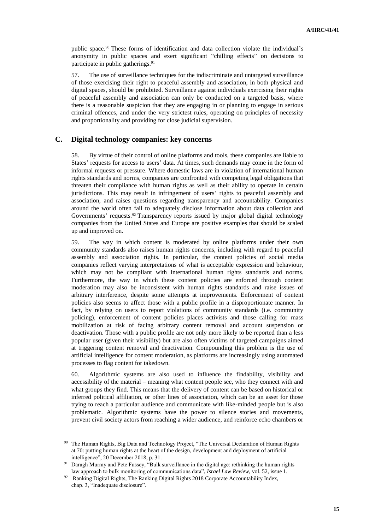public space.<sup>90</sup> These forms of identification and data collection violate the individual's anonymity in public spaces and exert significant "chilling effects" on decisions to participate in public gatherings.<sup>91</sup>

57. The use of surveillance techniques for the indiscriminate and untargeted surveillance of those exercising their right to peaceful assembly and association, in both physical and digital spaces, should be prohibited. Surveillance against individuals exercising their rights of peaceful assembly and association can only be conducted on a targeted basis, where there is a reasonable suspicion that they are engaging in or planning to engage in serious criminal offences, and under the very strictest rules, operating on principles of necessity and proportionality and providing for close judicial supervision.

#### **C. Digital technology companies: key concerns**

58. By virtue of their control of online platforms and tools, these companies are liable to States' requests for access to users' data. At times, such demands may come in the form of informal requests or pressure. Where domestic laws are in violation of international human rights standards and norms, companies are confronted with competing legal obligations that threaten their compliance with human rights as well as their ability to operate in certain jurisdictions. This may result in infringement of users' rights to peaceful assembly and association, and raises questions regarding transparency and accountability. Companies around the world often fail to adequately disclose information about data collection and Governments' requests.<sup>92</sup> Transparency reports issued by major global digital technology companies from the United States and Europe are positive examples that should be scaled up and improved on.

59. The way in which content is moderated by online platforms under their own community standards also raises human rights concerns, including with regard to peaceful assembly and association rights. In particular, the content policies of social media companies reflect varying interpretations of what is acceptable expression and behaviour, which may not be compliant with international human rights standards and norms. Furthermore, the way in which these content policies are enforced through content moderation may also be inconsistent with human rights standards and raise issues of arbitrary interference, despite some attempts at improvements. Enforcement of content policies also seems to affect those with a public profile in a disproportionate manner. In fact, by relying on users to report violations of community standards (i.e. community policing), enforcement of content policies places activists and those calling for mass mobilization at risk of facing arbitrary content removal and account suspension or deactivation. Those with a public profile are not only more likely to be reported than a less popular user (given their visibility) but are also often victims of targeted campaigns aimed at triggering content removal and deactivation. Compounding this problem is the use of artificial intelligence for content moderation, as platforms are increasingly using automated processes to flag content for takedown.

60. Algorithmic systems are also used to influence the findability, visibility and accessibility of the material – meaning what content people see, who they connect with and what groups they find. This means that the delivery of content can be based on historical or inferred political affiliation, or other lines of association, which can be an asset for those trying to reach a particular audience and communicate with like-minded people but is also problematic. Algorithmic systems have the power to silence stories and movements, prevent civil society actors from reaching a wider audience, and reinforce echo chambers or

<sup>&</sup>lt;sup>90</sup> The Human Rights, Big Data and Technology Project, "The Universal Declaration of Human Rights at 70: putting human rights at the heart of the design, development and deployment of artificial intelligence", 20 December 2018, p. 31.

<sup>&</sup>lt;sup>91</sup> Daragh Murray and Pete Fussey, "Bulk surveillance in the digital age: rethinking the human rights law approach to bulk monitoring of communications data", *Israel Law Review*, vol. 52, issue 1.

<sup>&</sup>lt;sup>92</sup> Ranking Digital Rights, The Ranking Digital Rights 2018 Corporate Accountability Index, chap. 3, "Inadequate disclosure".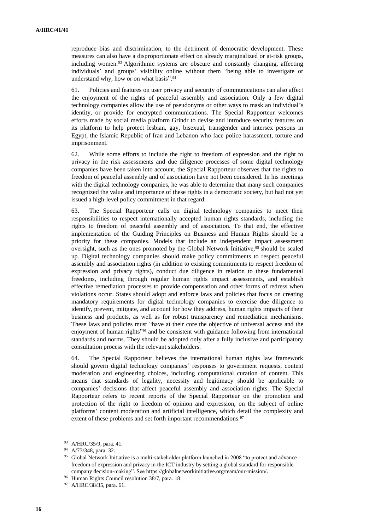reproduce bias and discrimination, to the detriment of democratic development. These measures can also have a disproportionate effect on already marginalized or at-risk groups, including women.<sup>93</sup> Algorithmic systems are obscure and constantly changing, affecting individuals' and groups' visibility online without them "being able to investigate or understand why, how or on what basis". 94

61. Policies and features on user privacy and security of communications can also affect the enjoyment of the rights of peaceful assembly and association. Only a few digital technology companies allow the use of pseudonyms or other ways to mask an individual's identity, or provide for encrypted communications. The Special Rapporteur welcomes efforts made by social media platform Grindr to devise and introduce security features on its platform to help protect lesbian, gay, bisexual, transgender and intersex persons in Egypt, the Islamic Republic of Iran and Lebanon who face police harassment, torture and imprisonment.

62. While some efforts to include the right to freedom of expression and the right to privacy in the risk assessments and due diligence processes of some digital technology companies have been taken into account, the Special Rapporteur observes that the rights to freedom of peaceful assembly and of association have not been considered. In his meetings with the digital technology companies, he was able to determine that many such companies recognized the value and importance of these rights in a democratic society, but had not yet issued a high-level policy commitment in that regard.

63. The Special Rapporteur calls on digital technology companies to meet their responsibilities to respect internationally accepted human rights standards, including the rights to freedom of peaceful assembly and of association. To that end, the effective implementation of the Guiding Principles on Business and Human Rights should be a priority for these companies. Models that include an independent impact assessment oversight, such as the ones promoted by the Global Network Initiative, <sup>95</sup> should be scaled up. Digital technology companies should make policy commitments to respect peaceful assembly and association rights (in addition to existing commitments to respect freedom of expression and privacy rights), conduct due diligence in relation to these fundamental freedoms, including through regular human rights impact assessments, and establish effective remediation processes to provide compensation and other forms of redress when violations occur. States should adopt and enforce laws and policies that focus on creating mandatory requirements for digital technology companies to exercise due diligence to identify, prevent, mitigate, and account for how they address, human rights impacts of their business and products, as well as for robust transparency and remediation mechanisms. These laws and policies must "have at their core the objective of universal access and the enjoyment of human rights"<sup>96</sup> and be consistent with guidance following from international standards and norms. They should be adopted only after a fully inclusive and participatory consultation process with the relevant stakeholders.

64. The Special Rapporteur believes the international human rights law framework should govern digital technology companies' responses to government requests, content moderation and engineering choices, including computational curation of content. This means that standards of legality, necessity and legitimacy should be applicable to companies' decisions that affect peaceful assembly and association rights. The Special Rapporteur refers to recent reports of the Special Rapporteur on the promotion and protection of the right to freedom of opinion and expression, on the subject of online platforms' content moderation and artificial intelligence, which detail the complexity and extent of these problems and set forth important recommendations.<sup>97</sup>

<sup>93</sup> A/HRC/35/9, para. 41.

<sup>94</sup> A/73/348, para. 32.

<sup>&</sup>lt;sup>95</sup> Global Network Initiative is a multi-stakeholder platform launched in 2008 "to protect and advance freedom of expression and privacy in the ICT industry by setting a global standard for responsible company decision-making". See [https://globalnetworkinitiative.org/team/our-mission/.](https://globalnetworkinitiative.org/team/our-mission/)

<sup>96</sup> Human Rights Council resolution 38/7, para. 18.

<sup>97</sup> A/HRC/38/35, para. 61.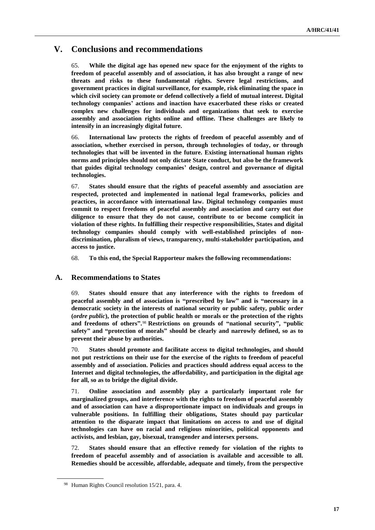## **V. Conclusions and recommendations**

65. **While the digital age has opened new space for the enjoyment of the rights to freedom of peaceful assembly and of association, it has also brought a range of new threats and risks to these fundamental rights. Severe legal restrictions, and government practices in digital surveillance, for example, risk eliminating the space in which civil society can promote or defend collectively a field of mutual interest. Digital technology companies' actions and inaction have exacerbated these risks or created complex new challenges for individuals and organizations that seek to exercise assembly and association rights online and offline. These challenges are likely to intensify in an increasingly digital future.**

66. **International law protects the rights of freedom of peaceful assembly and of association, whether exercised in person, through technologies of today, or through technologies that will be invented in the future. Existing international human rights norms and principles should not only dictate State conduct, but also be the framework that guides digital technology companies' design, control and governance of digital technologies.**

67. **States should ensure that the rights of peaceful assembly and association are respected, protected and implemented in national legal frameworks, policies and practices, in accordance with international law. Digital technology companies must commit to respect freedoms of peaceful assembly and association and carry out due diligence to ensure that they do not cause, contribute to or become complicit in violation of these rights. In fulfilling their respective responsibilities, States and digital technology companies should comply with well-established principles of nondiscrimination, pluralism of views, transparency, multi-stakeholder participation, and access to justice.**

68. **To this end, the Special Rapporteur makes the following recommendations:**

## **A. Recommendations to States**

69. **States should ensure that any interference with the rights to freedom of peaceful assembly and of association is "prescribed by law" and is "necessary in a democratic society in the interests of national security or public safety, public order (***ordre public***), the protection of public health or morals or the protection of the rights and freedoms of others".** <sup>98</sup> **Restrictions on grounds of "national security", "public safety" and "protection of morals" should be clearly and narrowly defined, so as to prevent their abuse by authorities.**

70. **States should promote and facilitate access to digital technologies, and should not put restrictions on their use for the exercise of the rights to freedom of peaceful assembly and of association. Policies and practices should address equal access to the Internet and digital technologies, the affordability, and participation in the digital age for all, so as to bridge the digital divide.** 

71. **Online association and assembly play a particularly important role for marginalized groups, and interference with the rights to freedom of peaceful assembly and of association can have a disproportionate impact on individuals and groups in vulnerable positions. In fulfilling their obligations, States should pay particular attention to the disparate impact that limitations on access to and use of digital technologies can have on racial and religious minorities, political opponents and activists, and lesbian, gay, bisexual, transgender and intersex persons.**

72. **States should ensure that an effective remedy for violation of the rights to freedom of peaceful assembly and of association is available and accessible to all. Remedies should be accessible, affordable, adequate and timely, from the perspective** 

<sup>98</sup> Human Rights Council resolution 15/21, para. 4.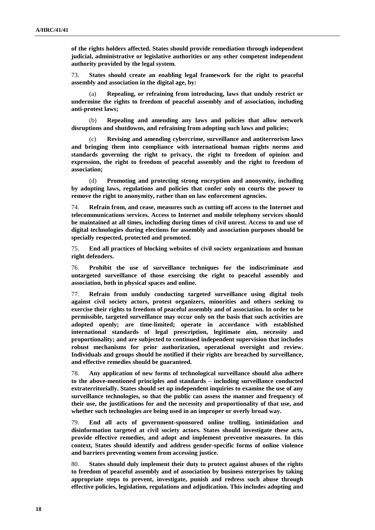**of the rights holders affected. States should provide remediation through independent judicial, administrative or legislative authorities or any other competent independent authority provided by the legal system.** 

73. **States should create an enabling legal framework for the right to peaceful assembly and association in the digital age, by:**

Repealing, or refraining from introducing, laws that unduly restrict or **undermine the rights to freedom of peaceful assembly and of association, including anti-protest laws;**

(b) **Repealing and amending any laws and policies that allow network disruptions and shutdowns, and refraining from adopting such laws and policies;**

Revising and amending cybercrime, surveillance and antiterrorism laws **and bringing them into compliance with international human rights norms and standards governing the right to privacy, the right to freedom of opinion and expression, the right to freedom of peaceful assembly and the right to freedom of association;**

(d) **Promoting and protecting strong encryption and anonymity, including by adopting laws, regulations and policies that confer only on courts the power to remove the right to anonymity, rather than on law enforcement agencies.**

74. **Refrain from, and cease, measures such as cutting off access to the Internet and telecommunications services. Access to Internet and mobile telephony services should be maintained at all times, including during times of civil unrest. Access to and use of digital technologies during elections for assembly and association purposes should be specially respected, protected and promoted.**

75. **End all practices of blocking websites of civil society organizations and human right defenders.**

76. **Prohibit the use of surveillance techniques for the indiscriminate and untargeted surveillance of those exercising the right to peaceful assembly and association, both in physical spaces and online.** 

77. **Refrain from unduly conducting targeted surveillance using digital tools against civil society actors, protest organizers, minorities and others seeking to exercise their rights to freedom of peaceful assembly and of association. In order to be permissible, targeted surveillance may occur only on the basis that such activities are adopted openly; are time-limited; operate in accordance with established international standards of legal prescription, legitimate aim, necessity and proportionality; and are subjected to continued independent supervision that includes robust mechanisms for prior authorization, operational oversight and review. Individuals and groups should be notified if their rights are breached by surveillance, and effective remedies should be guaranteed.** 

78. **Any application of new forms of technological surveillance should also adhere to the above-mentioned principles and standards – including surveillance conducted extraterritorially. States should set up independent inquiries to examine the use of any surveillance technologies, so that the public can assess the manner and frequency of their use, the justifications for and the necessity and proportionality of that use, and whether such technologies are being used in an improper or overly broad way.** 

79. **End all acts of government-sponsored online trolling, intimidation and disinformation targeted at civil society actors. States should investigate these acts, provide effective remedies, and adopt and implement preventive measures. In this context, States should identify and address gender-specific forms of online violence and barriers preventing women from accessing justice.**

80. **States should duly implement their duty to protect against abuses of the rights to freedom of peaceful assembly and of association by business enterprises by taking appropriate steps to prevent, investigate, punish and redress such abuse through effective policies, legislation, regulations and adjudication. This includes adopting and**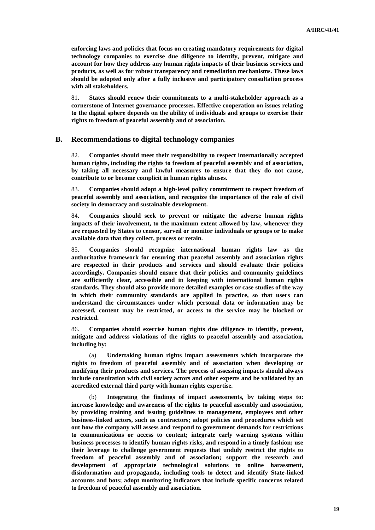**enforcing laws and policies that focus on creating mandatory requirements for digital technology companies to exercise due diligence to identify, prevent, mitigate and account for how they address any human rights impacts of their business services and products, as well as for robust transparency and remediation mechanisms. These laws should be adopted only after a fully inclusive and participatory consultation process with all stakeholders.** 

81. **States should renew their commitments to a multi-stakeholder approach as a cornerstone of Internet governance processes. Effective cooperation on issues relating to the digital sphere depends on the ability of individuals and groups to exercise their rights to freedom of peaceful assembly and of association.** 

#### **B. Recommendations to digital technology companies**

82. **Companies should meet their responsibility to respect internationally accepted human rights, including the rights to freedom of peaceful assembly and of association, by taking all necessary and lawful measures to ensure that they do not cause, contribute to or become complicit in human rights abuses.**

83. **Companies should adopt a high-level policy commitment to respect freedom of peaceful assembly and association, and recognize the importance of the role of civil society in democracy and sustainable development.** 

84. **Companies should seek to prevent or mitigate the adverse human rights impacts of their involvement, to the maximum extent allowed by law, whenever they are requested by States to censor, surveil or monitor individuals or groups or to make available data that they collect, process or retain.** 

85. **Companies should recognize international human rights law as the authoritative framework for ensuring that peaceful assembly and association rights are respected in their products and services and should evaluate their policies accordingly. Companies should ensure that their policies and community guidelines are sufficiently clear, accessible and in keeping with international human rights standards. They should also provide more detailed examples or case studies of the way in which their community standards are applied in practice, so that users can understand the circumstances under which personal data or information may be accessed, content may be restricted, or access to the service may be blocked or restricted.**

86. **Companies should exercise human rights due diligence to identify, prevent, mitigate and address violations of the rights to peaceful assembly and association, including by:**

(a) **Undertaking human rights impact assessments which incorporate the rights to freedom of peaceful assembly and of association when developing or modifying their products and services. The process of assessing impacts should always include consultation with civil society actors and other experts and be validated by an accredited external third party with human rights expertise.**

(b) **Integrating the findings of impact assessments, by taking steps to: increase knowledge and awareness of the rights to peaceful assembly and association, by providing training and issuing guidelines to management, employees and other business-linked actors, such as contractors; adopt policies and procedures which set out how the company will assess and respond to government demands for restrictions to communications or access to content; integrate early warning systems within business processes to identify human rights risks, and respond in a timely fashion; use their leverage to challenge government requests that unduly restrict the rights to freedom of peaceful assembly and of association; support the research and development of appropriate technological solutions to online harassment, disinformation and propaganda, including tools to detect and identify State-linked accounts and bots; adopt monitoring indicators that include specific concerns related to freedom of peaceful assembly and association.**